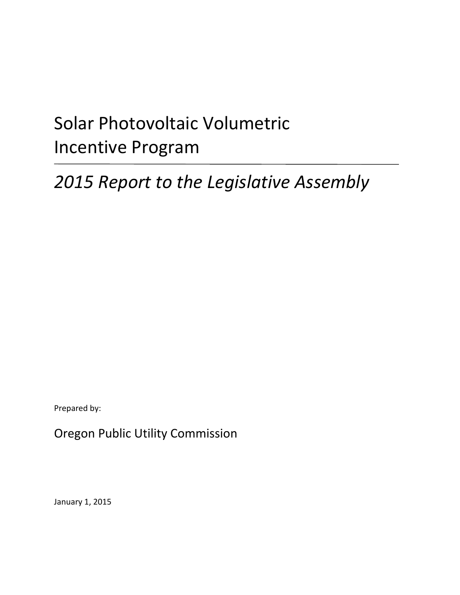# Solar Photovoltaic Volumetric Incentive Program

## *2015 Report to the Legislative Assembly*

Prepared by:

Oregon Public Utility Commission

January 1, 2015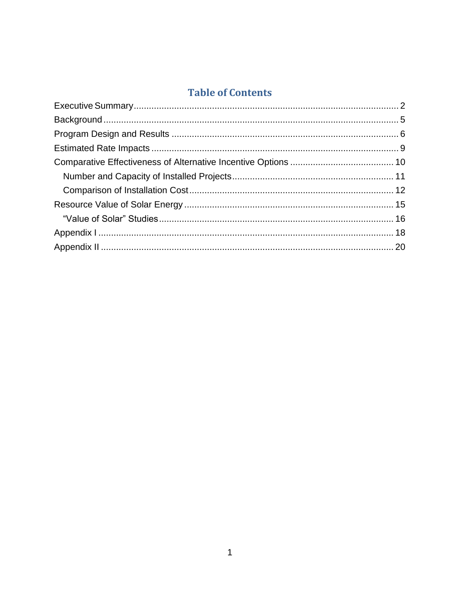### **Table of Contents**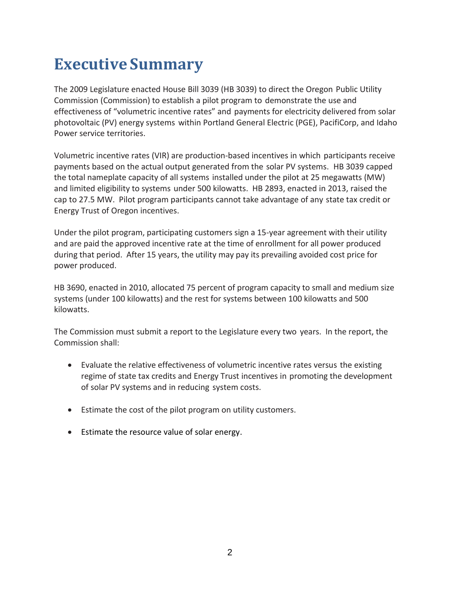### <span id="page-2-0"></span>**Executive Summary**

The 2009 Legislature enacted House Bill 3039 (HB 3039) to direct the Oregon Public Utility Commission (Commission) to establish a pilot program to demonstrate the use and effectiveness of "volumetric incentive rates" and payments for electricity delivered from solar photovoltaic (PV) energy systems within Portland General Electric (PGE), PacifiCorp, and Idaho Power service territories.

Volumetric incentive rates (VIR) are production-based incentives in which participants receive payments based on the actual output generated from the solar PV systems. HB 3039 capped the total nameplate capacity of all systems installed under the pilot at 25 megawatts (MW) and limited eligibility to systems under 500 kilowatts. HB 2893, enacted in 2013, raised the cap to 27.5 MW. Pilot program participants cannot take advantage of any state tax credit or Energy Trust of Oregon incentives.

Under the pilot program, participating customers sign a 15-year agreement with their utility and are paid the approved incentive rate at the time of enrollment for all power produced during that period. After 15 years, the utility may pay its prevailing avoided cost price for power produced.

HB 3690, enacted in 2010, allocated 75 percent of program capacity to small and medium size systems (under 100 kilowatts) and the rest for systems between 100 kilowatts and 500 kilowatts.

The Commission must submit a report to the Legislature every two years. In the report, the Commission shall:

- Evaluate the relative effectiveness of volumetric incentive rates versus the existing regime of state tax credits and Energy Trust incentives in promoting the development of solar PV systems and in reducing system costs.
- Estimate the cost of the pilot program on utility customers.
- **Estimate the resource value of solar energy.**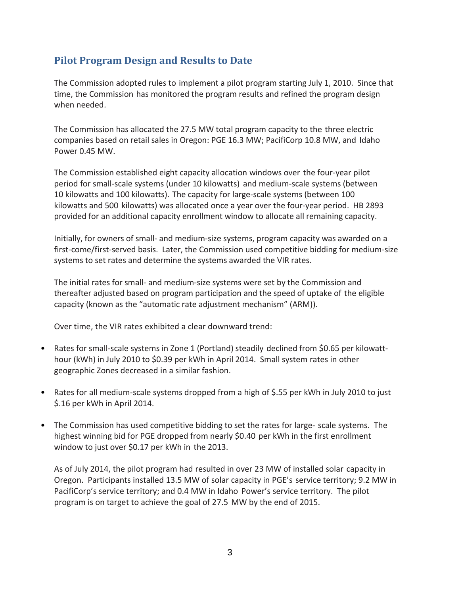#### **Pilot Program Design and Results to Date**

The Commission adopted rules to implement a pilot program starting July 1, 2010. Since that time, the Commission has monitored the program results and refined the program design when needed.

The Commission has allocated the 27.5 MW total program capacity to the three electric companies based on retail sales in Oregon: PGE 16.3 MW; PacifiCorp 10.8 MW, and Idaho Power 0.45 MW.

The Commission established eight capacity allocation windows over the four-year pilot period for small-scale systems (under 10 kilowatts) and medium-scale systems (between 10 kilowatts and 100 kilowatts). The capacity for large-scale systems (between 100 kilowatts and 500 kilowatts) was allocated once a year over the four-year period. HB 2893 provided for an additional capacity enrollment window to allocate all remaining capacity.

Initially, for owners of small- and medium-size systems, program capacity was awarded on a first-come/first-served basis. Later, the Commission used competitive bidding for medium-size systems to set rates and determine the systems awarded the VIR rates.

The initial rates for small- and medium-size systems were set by the Commission and thereafter adjusted based on program participation and the speed of uptake of the eligible capacity (known as the "automatic rate adjustment mechanism" (ARM)).

Over time, the VIR rates exhibited a clear downward trend:

- Rates for small-scale systems in Zone 1 (Portland) steadily declined from \$0.65 per kilowatthour (kWh) in July 2010 to \$0.39 per kWh in April 2014. Small system rates in other geographic Zones decreased in a similar fashion.
- Rates for all medium-scale systems dropped from a high of \$.55 per kWh in July 2010 to just \$.16 per kWh in April 2014.
- The Commission has used competitive bidding to set the rates for large- scale systems. The highest winning bid for PGE dropped from nearly \$0.40 per kWh in the first enrollment window to just over \$0.17 per kWh in the 2013.

As of July 2014, the pilot program had resulted in over 23 MW of installed solar capacity in Oregon. Participants installed 13.5 MW of solar capacity in PGE's service territory; 9.2 MW in PacifiCorp's service territory; and 0.4 MW in Idaho Power's service territory. The pilot program is on target to achieve the goal of 27.5 MW by the end of 2015.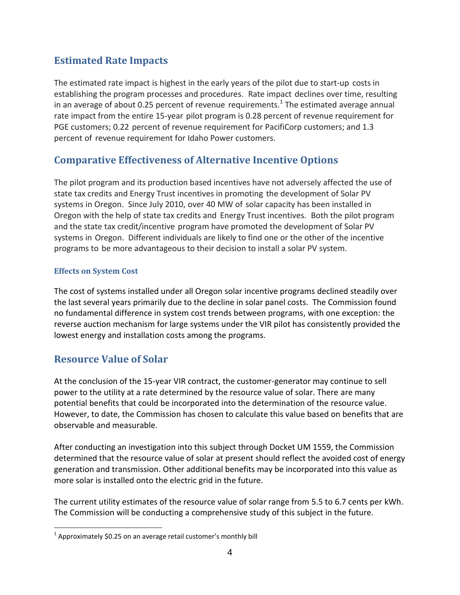#### **Estimated Rate Impacts**

The estimated rate impact is highest in the early years of the pilot due to start-up costs in establishing the program processes and procedures. Rate impact declines over time, resulting in an average of about 0.25 percent of revenue requirements.<sup>1</sup> The estimated average annual rate impact from the entire 15-year pilot program is 0.28 percent of revenue requirement for PGE customers; 0.22 percent of revenue requirement for PacifiCorp customers; and 1.3 percent of revenue requirement for Idaho Power customers.

#### **Comparative Effectiveness of Alternative Incentive Options**

The pilot program and its production based incentives have not adversely affected the use of state tax credits and Energy Trust incentives in promoting the development of Solar PV systems in Oregon. Since July 2010, over 40 MW of solar capacity has been installed in Oregon with the help of state tax credits and Energy Trust incentives. Both the pilot program and the state tax credit/incentive program have promoted the development of Solar PV systems in Oregon. Different individuals are likely to find one or the other of the incentive programs to be more advantageous to their decision to install a solar PV system.

#### **Effects on System Cost**

The cost of systems installed under all Oregon solar incentive programs declined steadily over the last several years primarily due to the decline in solar panel costs. The Commission found no fundamental difference in system cost trends between programs, with one exception: the reverse auction mechanism for large systems under the VIR pilot has consistently provided the lowest energy and installation costs among the programs.

#### **Resource Value of Solar**

 $\overline{a}$ 

At the conclusion of the 15-year VIR contract, the customer-generator may continue to sell power to the utility at a rate determined by the resource value of solar. There are many potential benefits that could be incorporated into the determination of the resource value. However, to date, the Commission has chosen to calculate this value based on benefits that are observable and measurable.

After conducting an investigation into this subject through Docket UM 1559, the Commission determined that the resource value of solar at present should reflect the avoided cost of energy generation and transmission. Other additional benefits may be incorporated into this value as more solar is installed onto the electric grid in the future.

The current utility estimates of the resource value of solar range from 5.5 to 6.7 cents per kWh. The Commission will be conducting a comprehensive study of this subject in the future.

 $^{1}$  Approximately \$0.25 on an average retail customer's monthly bill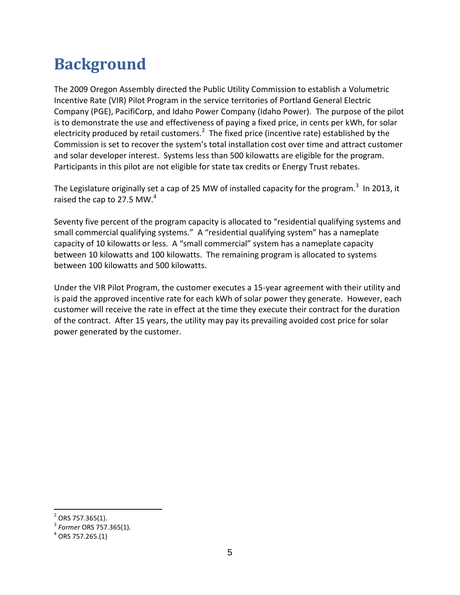### <span id="page-5-0"></span>**Background**

The 2009 Oregon Assembly directed the Public Utility Commission to establish a Volumetric Incentive Rate (VIR) Pilot Program in the service territories of Portland General Electric Company (PGE), PacifiCorp, and Idaho Power Company (Idaho Power). The purpose of the pilot is to demonstrate the use and effectiveness of paying a fixed price, in cents per kWh, for solar electricity produced by retail customers.<sup>2</sup> The fixed price (incentive rate) established by the Commission is set to recover the system's total installation cost over time and attract customer and solar developer interest. Systems less than 500 kilowatts are eligible for the program. Participants in this pilot are not eligible for state tax credits or Energy Trust rebates.

The Legislature originally set a cap of 25 MW of installed capacity for the program.<sup>3</sup> In 2013, it raised the cap to 27.5 MW.<sup>4</sup>

Seventy five percent of the program capacity is allocated to "residential qualifying systems and small commercial qualifying systems." A "residential qualifying system" has a nameplate capacity of 10 kilowatts or less. A "small commercial" system has a nameplate capacity between 10 kilowatts and 100 kilowatts. The remaining program is allocated to systems between 100 kilowatts and 500 kilowatts.

Under the VIR Pilot Program, the customer executes a 15-year agreement with their utility and is paid the approved incentive rate for each kWh of solar power they generate. However, each customer will receive the rate in effect at the time they execute their contract for the duration of the contract. After 15 years, the utility may pay its prevailing avoided cost price for solar power generated by the customer.

 $2$  ORS 757.365(1).

<sup>3</sup> *Former* ORS 757.365(1).

 $^4$  ORS 757.265.(1)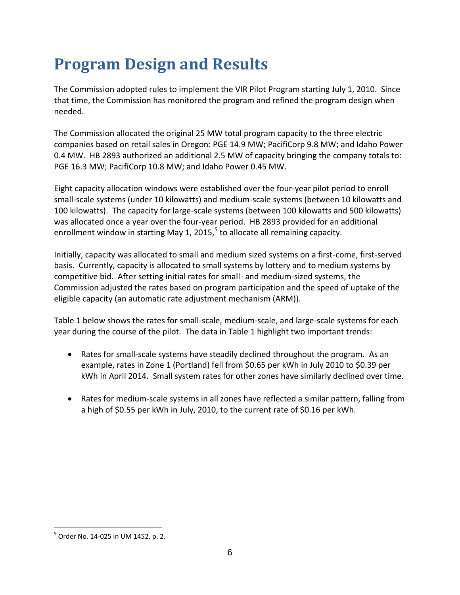### <span id="page-6-0"></span>**Program Design and Results**

The Commission adopted rules to implement the VIR Pilot Program starting July 1, 2010. Since that time, the Commission has monitored the program and refined the program design when needed.

The Commission allocated the original 25 MW total program capacity to the three electric companies based on retail sales in Oregon: PGE 14.9 MW; PacifiCorp 9.8 MW; and Idaho Power 0.4 MW. HB 2893 authorized an additional 2.5 MW of capacity bringing the company totals to: PGE 16.3 MW; PacifiCorp 10.8 MW; and Idaho Power 0.45 MW.

Eight capacity allocation windows were established over the four-year pilot period to enroll small-scale systems (under 10 kilowatts) and medium-scale systems (between 10 kilowatts and 100 kilowatts). The capacity for large-scale systems (between 100 kilowatts and 500 kilowatts) was allocated once a year over the four-year period. HB 2893 provided for an additional enrollment window in starting May 1, 2015,<sup>5</sup> to allocate all remaining capacity.

Initially, capacity was allocated to small and medium sized systems on a first-come, first-served basis. Currently, capacity is allocated to small systems by lottery and to medium systems by competitive bid. After setting initial rates for small- and medium-sized systems, the Commission adjusted the rates based on program participation and the speed of uptake of the eligible capacity (an automatic rate adjustment mechanism (ARM)).

Table 1 below shows the rates for small-scale, medium-scale, and large-scale systems for each year during the course of the pilot. The data in Table 1 highlight two important trends:

- Rates for small-scale systems have steadily declined throughout the program. As an example, rates in Zone 1 (Portland) fell from \$0.65 per kWh in July 2010 to \$0.39 per kWh in April 2014. Small system rates for other zones have similarly declined over time.
- Rates for medium-scale systems in all zones have reflected a similar pattern, falling from a high of \$0.55 per kWh in July, 2010, to the current rate of \$0.16 per kWh.

<sup>&</sup>lt;sup>5</sup> Order No. 14-025 in UM 1452, p. 2.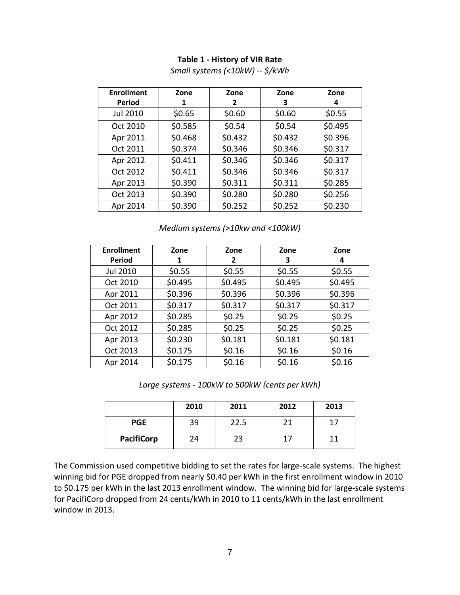#### **Table 1 - History of VIR Rate**

| <b>Enrollment</b> | Zone    | Zone    | Zone    | Zone    |
|-------------------|---------|---------|---------|---------|
| <b>Period</b>     | 1       | 2       | З       | 4       |
| Jul 2010          | \$0.65  | \$0.60  | \$0.60  | \$0.55  |
| Oct 2010          | \$0.585 | \$0.54  | \$0.54  | \$0.495 |
| Apr 2011          | \$0.468 | \$0.432 | \$0.432 | \$0.396 |
| Oct 2011          | \$0.374 | \$0.346 | \$0.346 | \$0.317 |
| Apr 2012          | \$0.411 | \$0.346 | \$0.346 | \$0.317 |
| Oct 2012          | \$0.411 | \$0.346 | \$0.346 | \$0.317 |
| Apr 2013          | \$0.390 | \$0.311 | \$0.311 | \$0.285 |
| Oct 2013          | \$0.390 | \$0.280 | \$0.280 | \$0.256 |
| Apr 2014          | \$0.390 | \$0.252 | \$0.252 | \$0.230 |

*Small systems (<10kW) -- \$/kWh*

*Medium systems (>10kw and <100kW)*

| <b>Enrollment</b> | Zone    | Zone    | Zone    | Zone    |
|-------------------|---------|---------|---------|---------|
| <b>Period</b>     | 1       | 2       | З       | 4       |
| Jul 2010          | \$0.55  | \$0.55  | \$0.55  | \$0.55  |
| Oct 2010          | \$0.495 | \$0.495 | \$0.495 | \$0.495 |
| Apr 2011          | \$0.396 | \$0.396 | \$0.396 | \$0.396 |
| Oct 2011          | \$0.317 | \$0.317 | \$0.317 | \$0.317 |
| Apr 2012          | \$0.285 | \$0.25  | \$0.25  | \$0.25  |
| Oct 2012          | \$0.285 | \$0.25  | \$0.25  | \$0.25  |
| Apr 2013          | \$0.230 | \$0.181 | \$0.181 | \$0.181 |
| Oct 2013          | \$0.175 | \$0.16  | \$0.16  | \$0.16  |
| Apr 2014          | \$0.175 | \$0.16  | \$0.16  | \$0.16  |

*Large systems - 100kW to 500kW (cents per kWh)*

|                   | 2010 | 2011 | 2012 | 2013 |
|-------------------|------|------|------|------|
| <b>PGE</b>        | 39   | 22.5 |      |      |
| <b>PacifiCorp</b> | 24   | 23   |      |      |

The Commission used competitive bidding to set the rates for large-scale systems. The highest winning bid for PGE dropped from nearly \$0.40 per kWh in the first enrollment window in 2010 to \$0.175 per kWh in the last 2013 enrollment window. The winning bid for large-scale systems for PacifiCorp dropped from 24 cents/kWh in 2010 to 11 cents/kWh in the last enrollment window in 2013.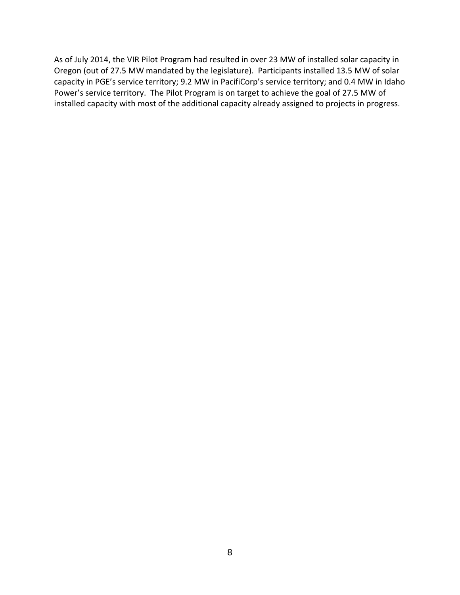As of July 2014, the VIR Pilot Program had resulted in over 23 MW of installed solar capacity in Oregon (out of 27.5 MW mandated by the legislature). Participants installed 13.5 MW of solar capacity in PGE's service territory; 9.2 MW in PacifiCorp's service territory; and 0.4 MW in Idaho Power's service territory. The Pilot Program is on target to achieve the goal of 27.5 MW of installed capacity with most of the additional capacity already assigned to projects in progress.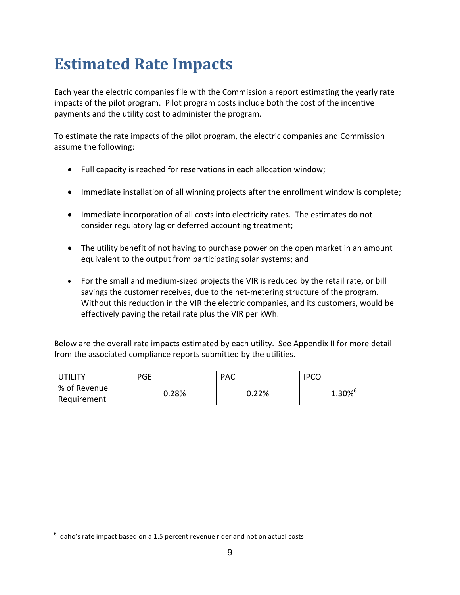### <span id="page-9-0"></span>**Estimated Rate Impacts**

Each year the electric companies file with the Commission a report estimating the yearly rate impacts of the pilot program. Pilot program costs include both the cost of the incentive payments and the utility cost to administer the program.

To estimate the rate impacts of the pilot program, the electric companies and Commission assume the following:

- Full capacity is reached for reservations in each allocation window;
- Immediate installation of all winning projects after the enrollment window is complete;
- Immediate incorporation of all costs into electricity rates. The estimates do not consider regulatory lag or deferred accounting treatment;
- The utility benefit of not having to purchase power on the open market in an amount equivalent to the output from participating solar systems; and
- For the small and medium-sized projects the VIR is reduced by the retail rate, or bill savings the customer receives, due to the net-metering structure of the program. Without this reduction in the VIR the electric companies, and its customers, would be effectively paying the retail rate plus the VIR per kWh.

Below are the overall rate impacts estimated by each utility. See Appendix II for more detail from the associated compliance reports submitted by the utilities.

| <b>ITILITY</b> | <b>PGE</b> | PAC   | <b>IPCC</b> |
|----------------|------------|-------|-------------|
| % of Revenue   | 0.28%      | 0.22% | $1.30\%$    |
| Requirement    |            |       |             |

 $^6$  Idaho's rate impact based on a 1.5 percent revenue rider and not on actual costs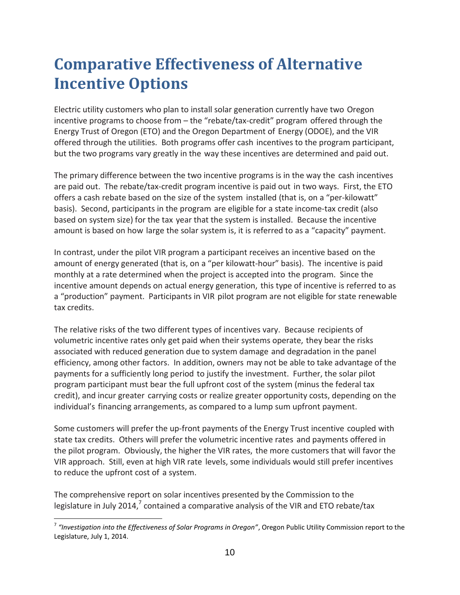### <span id="page-10-0"></span>**Comparative Effectiveness of Alternative Incentive Options**

Electric utility customers who plan to install solar generation currently have two Oregon incentive programs to choose from – the "rebate/tax-credit" program offered through the Energy Trust of Oregon (ETO) and the Oregon Department of Energy (ODOE), and the VIR offered through the utilities. Both programs offer cash incentives to the program participant, but the two programs vary greatly in the way these incentives are determined and paid out.

The primary difference between the two incentive programs is in the way the cash incentives are paid out. The rebate/tax-credit program incentive is paid out in two ways. First, the ETO offers a cash rebate based on the size of the system installed (that is, on a "per-kilowatt" basis). Second, participants in the program are eligible for a state income-tax credit (also based on system size) for the tax year that the system is installed. Because the incentive amount is based on how large the solar system is, it is referred to as a "capacity" payment.

In contrast, under the pilot VIR program a participant receives an incentive based on the amount of energy generated (that is, on a "per kilowatt-hour" basis). The incentive is paid monthly at a rate determined when the project is accepted into the program. Since the incentive amount depends on actual energy generation, this type of incentive is referred to as a "production" payment. Participants in VIR pilot program are not eligible for state renewable tax credits.

The relative risks of the two different types of incentives vary. Because recipients of volumetric incentive rates only get paid when their systems operate, they bear the risks associated with reduced generation due to system damage and degradation in the panel efficiency, among other factors. In addition, owners may not be able to take advantage of the payments for a sufficiently long period to justify the investment. Further, the solar pilot program participant must bear the full upfront cost of the system (minus the federal tax credit), and incur greater carrying costs or realize greater opportunity costs, depending on the individual's financing arrangements, as compared to a lump sum upfront payment.

Some customers will prefer the up-front payments of the Energy Trust incentive coupled with state tax credits. Others will prefer the volumetric incentive rates and payments offered in the pilot program. Obviously, the higher the VIR rates, the more customers that will favor the VIR approach. Still, even at high VIR rate levels, some individuals would still prefer incentives to reduce the upfront cost of a system.

The comprehensive report on solar incentives presented by the Commission to the legislature in July 2014,<sup>7</sup> contained a comparative analysis of the VIR and ETO rebate/tax

<sup>7</sup> *"Investigation into the Effectiveness of Solar Programs in Oregon"*, Oregon Public Utility Commission report to the Legislature, July 1, 2014.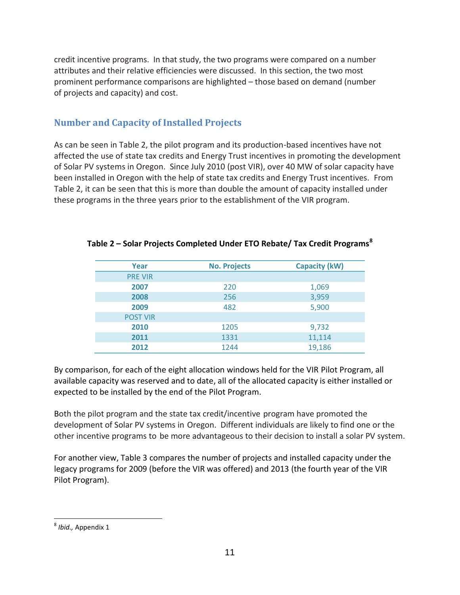credit incentive programs. In that study, the two programs were compared on a number attributes and their relative efficiencies were discussed. In this section, the two most prominent performance comparisons are highlighted – those based on demand (number of projects and capacity) and cost.

#### <span id="page-11-0"></span>**Number and Capacity of Installed Projects**

As can be seen in Table 2, the pilot program and its production-based incentives have not affected the use of state tax credits and Energy Trust incentives in promoting the development of Solar PV systems in Oregon. Since July 2010 (post VIR), over 40 MW of solar capacity have been installed in Oregon with the help of state tax credits and Energy Trust incentives. From Table 2, it can be seen that this is more than double the amount of capacity installed under these programs in the three years prior to the establishment of the VIR program.

| Year            | <b>No. Projects</b> | <b>Capacity (kW)</b> |
|-----------------|---------------------|----------------------|
| <b>PRE VIR</b>  |                     |                      |
| 2007            | 220                 | 1,069                |
| 2008            | 256                 | 3,959                |
| 2009            | 482                 | 5,900                |
| <b>POST VIR</b> |                     |                      |
| 2010            | 1205                | 9,732                |
| 2011            | 1331                | 11,114               |
| 2012            | 1244                | 19,186               |

#### **Table 2 – Solar Projects Completed Under ETO Rebate/ Tax Credit Programs<sup>8</sup>**

By comparison, for each of the eight allocation windows held for the VIR Pilot Program, all available capacity was reserved and to date, all of the allocated capacity is either installed or expected to be installed by the end of the Pilot Program.

Both the pilot program and the state tax credit/incentive program have promoted the development of Solar PV systems in Oregon. Different individuals are likely to find one or the other incentive programs to be more advantageous to their decision to install a solar PV system.

For another view, Table 3 compares the number of projects and installed capacity under the legacy programs for 2009 (before the VIR was offered) and 2013 (the fourth year of the VIR Pilot Program).

 $\overline{a}$ 8 *Ibid.,* Appendix 1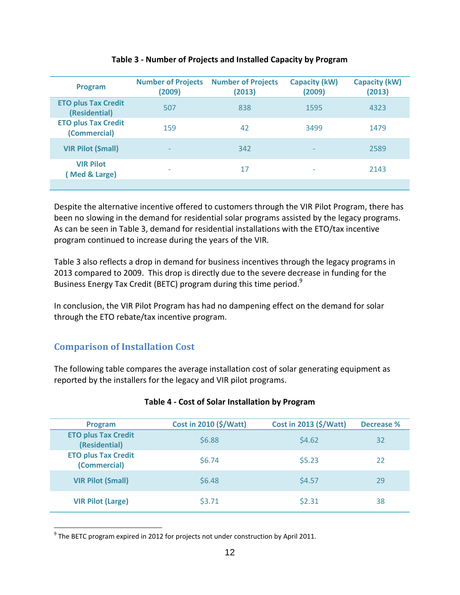| <b>Program</b>                              | <b>Number of Projects</b><br>(2009) | <b>Number of Projects</b><br>(2013) | <b>Capacity (kW)</b><br>(2009) | <b>Capacity (kW)</b><br>(2013) |
|---------------------------------------------|-------------------------------------|-------------------------------------|--------------------------------|--------------------------------|
| <b>ETO plus Tax Credit</b><br>(Residential) | 507                                 | 838                                 | 1595                           | 4323                           |
| <b>ETO plus Tax Credit</b><br>(Commercial)  | 159                                 | 42                                  | 3499                           | 1479                           |
| <b>VIR Pilot (Small)</b>                    | $\qquad \qquad$                     | 342                                 |                                | 2589                           |
| <b>VIR Pilot</b><br>(Med & Large)           | $\overline{\phantom{0}}$            | 17                                  |                                | 2143                           |
|                                             |                                     |                                     |                                |                                |

#### **Table 3 - Number of Projects and Installed Capacity by Program**

Despite the alternative incentive offered to customers through the VIR Pilot Program, there has been no slowing in the demand for residential solar programs assisted by the legacy programs. As can be seen in Table 3, demand for residential installations with the ETO/tax incentive program continued to increase during the years of the VIR.

Table 3 also reflects a drop in demand for business incentives through the legacy programs in 2013 compared to 2009. This drop is directly due to the severe decrease in funding for the Business Energy Tax Credit (BETC) program during this time period.<sup>9</sup>

In conclusion, the VIR Pilot Program has had no dampening effect on the demand for solar through the ETO rebate/tax incentive program.

#### <span id="page-12-0"></span>**Comparison of Installation Cost**

 $\overline{a}$ 

The following table compares the average installation cost of solar generating equipment as reported by the installers for the legacy and VIR pilot programs.

| Program                                     | Cost in 2010 (\$/Watt) | Cost in 2013 (\$/Watt) | <b>Decrease %</b> |
|---------------------------------------------|------------------------|------------------------|-------------------|
| <b>ETO plus Tax Credit</b><br>(Residential) | \$6.88                 | \$4.62                 | 32                |
| <b>ETO plus Tax Credit</b><br>(Commercial)  | \$6.74                 | \$5.23                 | 22                |
| <b>VIR Pilot (Small)</b>                    | \$6.48                 | \$4.57                 | 29                |
| <b>VIR Pilot (Large)</b>                    | \$3.71                 | \$2.31                 | 38                |

#### **Table 4 - Cost of Solar Installation by Program**

 $^{9}$  The BETC program expired in 2012 for projects not under construction by April 2011.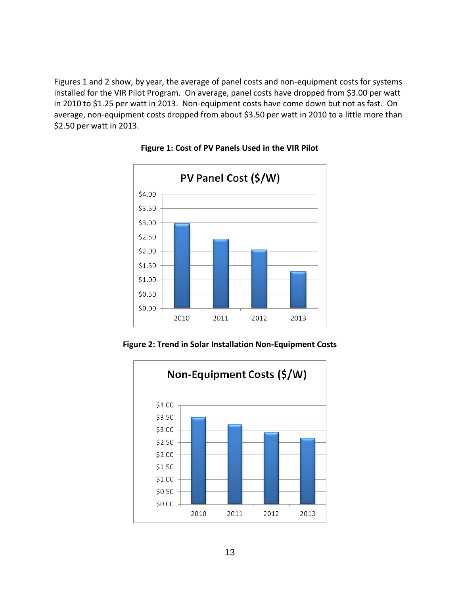Figures 1 and 2 show, by year, the average of panel costs and non-equipment costs for systems installed for the VIR Pilot Program. On average, panel costs have dropped from \$3.00 per watt in 2010 to \$1.25 per watt in 2013. Non-equipment costs have come down but not as fast. On average, non-equipment costs dropped from about \$3.50 per watt in 2010 to a little more than \$2.50 per watt in 2013.



#### **Figure 1: Cost of PV Panels Used in the VIR Pilot**

**Figure 2: Trend in Solar Installation Non-Equipment Costs**

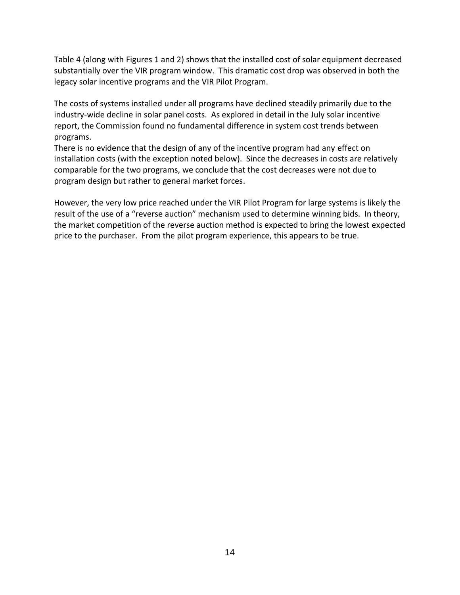Table 4 (along with Figures 1 and 2) shows that the installed cost of solar equipment decreased substantially over the VIR program window. This dramatic cost drop was observed in both the legacy solar incentive programs and the VIR Pilot Program.

The costs of systems installed under all programs have declined steadily primarily due to the industry-wide decline in solar panel costs. As explored in detail in the July solar incentive report, the Commission found no fundamental difference in system cost trends between programs.

There is no evidence that the design of any of the incentive program had any effect on installation costs (with the exception noted below). Since the decreases in costs are relatively comparable for the two programs, we conclude that the cost decreases were not due to program design but rather to general market forces.

However, the very low price reached under the VIR Pilot Program for large systems is likely the result of the use of a "reverse auction" mechanism used to determine winning bids. In theory, the market competition of the reverse auction method is expected to bring the lowest expected price to the purchaser. From the pilot program experience, this appears to be true.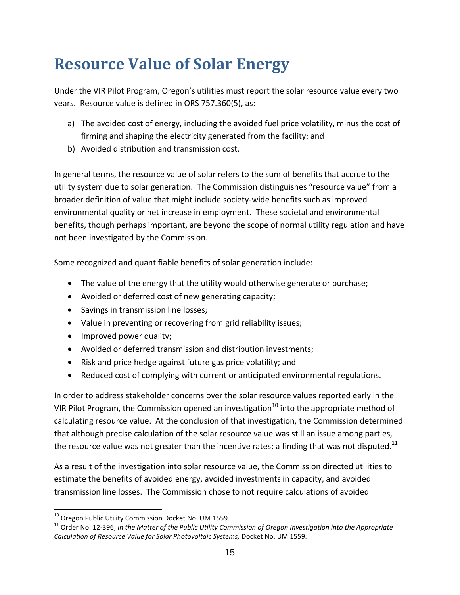### <span id="page-15-0"></span>**Resource Value of Solar Energy**

Under the VIR Pilot Program, Oregon's utilities must report the solar resource value every two years. Resource value is defined in ORS 757.360(5), as:

- a) The avoided cost of energy, including the avoided fuel price volatility, minus the cost of firming and shaping the electricity generated from the facility; and
- b) Avoided distribution and transmission cost.

In general terms, the resource value of solar refers to the sum of benefits that accrue to the utility system due to solar generation. The Commission distinguishes "resource value" from a broader definition of value that might include society-wide benefits such as improved environmental quality or net increase in employment. These societal and environmental benefits, though perhaps important, are beyond the scope of normal utility regulation and have not been investigated by the Commission.

Some recognized and quantifiable benefits of solar generation include:

- The value of the energy that the utility would otherwise generate or purchase;
- Avoided or deferred cost of new generating capacity;
- Savings in transmission line losses;
- Value in preventing or recovering from grid reliability issues;
- Improved power quality;
- Avoided or deferred transmission and distribution investments;
- Risk and price hedge against future gas price volatility; and
- Reduced cost of complying with current or anticipated environmental regulations.

In order to address stakeholder concerns over the solar resource values reported early in the VIR Pilot Program, the Commission opened an investigation<sup>10</sup> into the appropriate method of calculating resource value. At the conclusion of that investigation, the Commission determined that although precise calculation of the solar resource value was still an issue among parties, the resource value was not greater than the incentive rates; a finding that was not disputed.<sup>11</sup>

As a result of the investigation into solar resource value, the Commission directed utilities to estimate the benefits of avoided energy, avoided investments in capacity, and avoided transmission line losses. The Commission chose to not require calculations of avoided

 $\overline{a}$  $^{10}$  Oregon Public Utility Commission Docket No. UM 1559.

<sup>11</sup> Order No. 12-396; *In the Matter of the Public Utility Commission of Oregon Investigation into the Appropriate Calculation of Resource Value for Solar Photovoltaic Systems,* Docket No. UM 1559.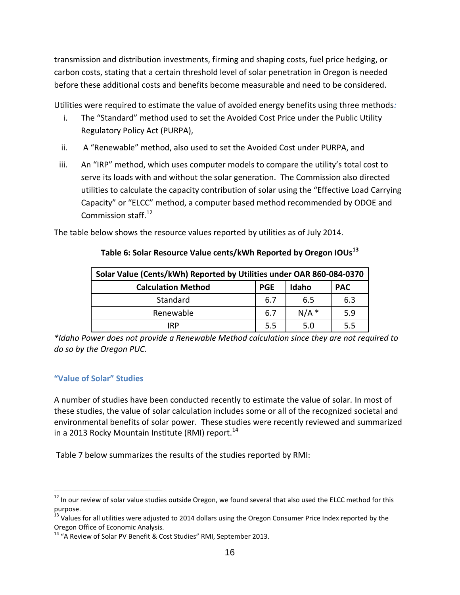transmission and distribution investments, firming and shaping costs, fuel price hedging, or carbon costs, stating that a certain threshold level of solar penetration in Oregon is needed before these additional costs and benefits become measurable and need to be considered.

Utilities were required to estimate the value of avoided energy benefits using three methods*:*

- i. The "Standard" method used to set the Avoided Cost Price under the Public Utility Regulatory Policy Act (PURPA),
- ii. A "Renewable" method, also used to set the Avoided Cost under PURPA, and
- iii. An "IRP" method, which uses computer models to compare the utility's total cost to serve its loads with and without the solar generation. The Commission also directed utilities to calculate the capacity contribution of solar using the "Effective Load Carrying Capacity" or "ELCC" method, a computer based method recommended by ODOE and Commission staff.<sup>12</sup>

The table below shows the resource values reported by utilities as of July 2014.

| Solar Value (Cents/kWh) Reported by Utilities under OAR 860-084-0370 |     |         |     |  |  |  |
|----------------------------------------------------------------------|-----|---------|-----|--|--|--|
| Idaho<br><b>PGE</b><br><b>Calculation Method</b><br><b>PAC</b>       |     |         |     |  |  |  |
| Standard                                                             | 6.7 | 6.5     | 6.3 |  |  |  |
| Renewable                                                            | 6.7 | $N/A$ * | 5.9 |  |  |  |
| IRP                                                                  | 5.5 | 5.0     | 5.5 |  |  |  |

#### **Table 6: Solar Resource Value cents/kWh Reported by Oregon IOUs<sup>13</sup>**

*\*Idaho Power does not provide a Renewable Method calculation since they are not required to do so by the Oregon PUC.*

#### <span id="page-16-0"></span>**"Value of Solar" Studies**

 $\overline{a}$ 

A number of studies have been conducted recently to estimate the value of solar. In most of these studies, the value of solar calculation includes some or all of the recognized societal and environmental benefits of solar power. These studies were recently reviewed and summarized in a 2013 Rocky Mountain Institute (RMI) report. $^{14}$ 

Table 7 below summarizes the results of the studies reported by RMI:

 $12$  In our review of solar value studies outside Oregon, we found several that also used the ELCC method for this purpose.

<sup>&</sup>lt;sup>13</sup> Values for all utilities were adjusted to 2014 dollars using the Oregon Consumer Price Index reported by the Oregon Office of Economic Analysis.

<sup>&</sup>lt;sup>14</sup> "A Review of Solar PV Benefit & Cost Studies" RMI, September 2013.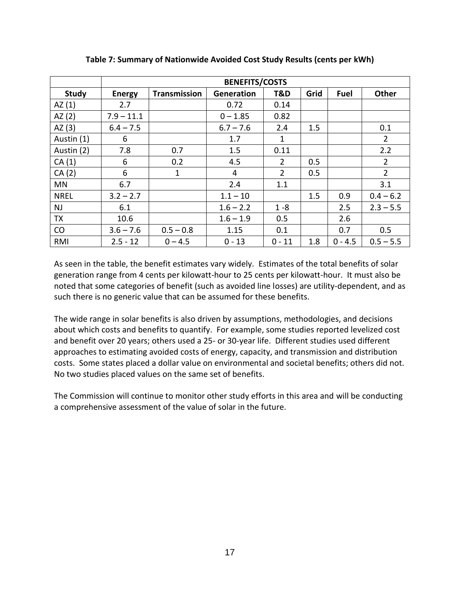|              | <b>BENEFITS/COSTS</b> |                     |             |                |      |             |                |
|--------------|-----------------------|---------------------|-------------|----------------|------|-------------|----------------|
| <b>Study</b> | <b>Energy</b>         | <b>Transmission</b> | Generation  | T&D            | Grid | <b>Fuel</b> | Other          |
| AZ(1)        | 2.7                   |                     | 0.72        | 0.14           |      |             |                |
| AZ(2)        | $7.9 - 11.1$          |                     | $0 - 1.85$  | 0.82           |      |             |                |
| AZ $(3)$     | $6.4 - 7.5$           |                     | $6.7 - 7.6$ | 2.4            | 1.5  |             | 0.1            |
| Austin (1)   | 6                     |                     | 1.7         | 1              |      |             | $\overline{2}$ |
| Austin (2)   | 7.8                   | 0.7                 | 1.5         | 0.11           |      |             | 2.2            |
| CA(1)        | 6                     | 0.2                 | 4.5         | $\overline{2}$ | 0.5  |             | $\overline{2}$ |
| CA(2)        | 6                     | 1                   | 4           | $\overline{2}$ | 0.5  |             | $\overline{2}$ |
| MN           | 6.7                   |                     | 2.4         | 1.1            |      |             | 3.1            |
| <b>NREL</b>  | $3.2 - 2.7$           |                     | $1.1 - 10$  |                | 1.5  | 0.9         | $0.4 - 6.2$    |
| <b>NJ</b>    | 6.1                   |                     | $1.6 - 2.2$ | $1 - 8$        |      | 2.5         | $2.3 - 5.5$    |
| TX           | 10.6                  |                     | $1.6 - 1.9$ | 0.5            |      | 2.6         |                |
| CO           | $3.6 - 7.6$           | $0.5 - 0.8$         | 1.15        | 0.1            |      | 0.7         | 0.5            |
| <b>RMI</b>   | $2.5 - 12$            | $0 - 4.5$           | $0 - 13$    | $0 - 11$       | 1.8  | $0 - 4.5$   | $0.5 - 5.5$    |

**Table 7: Summary of Nationwide Avoided Cost Study Results (cents per kWh)**

As seen in the table, the benefit estimates vary widely. Estimates of the total benefits of solar generation range from 4 cents per kilowatt-hour to 25 cents per kilowatt-hour. It must also be noted that some categories of benefit (such as avoided line losses) are utility-dependent, and as such there is no generic value that can be assumed for these benefits.

The wide range in solar benefits is also driven by assumptions, methodologies, and decisions about which costs and benefits to quantify. For example, some studies reported levelized cost and benefit over 20 years; others used a 25- or 30-year life. Different studies used different approaches to estimating avoided costs of energy, capacity, and transmission and distribution costs. Some states placed a dollar value on environmental and societal benefits; others did not. No two studies placed values on the same set of benefits.

The Commission will continue to monitor other study efforts in this area and will be conducting a comprehensive assessment of the value of solar in the future.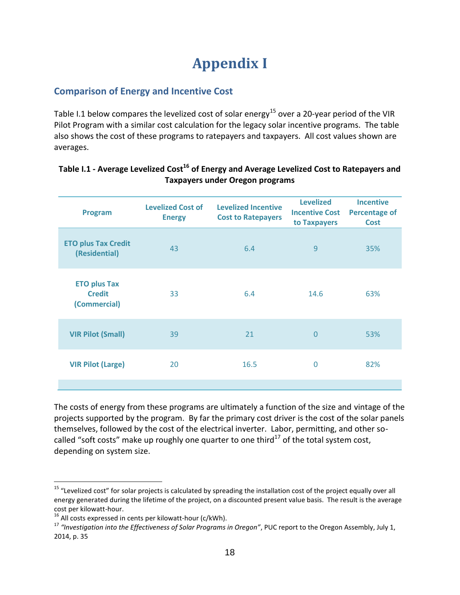### **Appendix I**

#### <span id="page-18-0"></span>**Comparison of Energy and Incentive Cost**

Table I.1 below compares the levelized cost of solar energy<sup>15</sup> over a 20-year period of the VIR Pilot Program with a similar cost calculation for the legacy solar incentive programs. The table also shows the cost of these programs to ratepayers and taxpayers. All cost values shown are averages.

| Program                                              | <b>Levelized Incentive</b><br><b>Levelized Cost of</b><br><b>Cost to Ratepayers</b><br><b>Energy</b> |      | <b>Levelized</b><br><b>Incentive Cost</b><br>to Taxpayers | <b>Incentive</b><br><b>Percentage of</b><br><b>Cost</b> |  |
|------------------------------------------------------|------------------------------------------------------------------------------------------------------|------|-----------------------------------------------------------|---------------------------------------------------------|--|
| <b>ETO plus Tax Credit</b><br>(Residential)          | 43                                                                                                   | 6.4  | 9                                                         | 35%                                                     |  |
| <b>ETO plus Tax</b><br><b>Credit</b><br>(Commercial) | 33                                                                                                   | 6.4  | 14.6                                                      | 63%                                                     |  |
| <b>VIR Pilot (Small)</b>                             | 39                                                                                                   | 21   | $\overline{0}$                                            | 53%                                                     |  |
| <b>VIR Pilot (Large)</b>                             | 20                                                                                                   | 16.5 | 0                                                         | 82%                                                     |  |
|                                                      |                                                                                                      |      |                                                           |                                                         |  |

#### **Table I.1 - Average Levelized Cost<sup>16</sup> of Energy and Average Levelized Cost to Ratepayers and Taxpayers under Oregon programs**

The costs of energy from these programs are ultimately a function of the size and vintage of the projects supported by the program. By far the primary cost driver is the cost of the solar panels themselves, followed by the cost of the electrical inverter. Labor, permitting, and other socalled "soft costs" make up roughly one quarter to one third $^{17}$  of the total system cost, depending on system size.

<sup>&</sup>lt;sup>15</sup> "Levelized cost" for solar projects is calculated by spreading the installation cost of the project equally over all energy generated during the lifetime of the project, on a discounted present value basis. The result is the average cost per kilowatt-hour.

<sup>&</sup>lt;sup>16</sup> All costs expressed in cents per kilowatt-hour (c/kWh).

<sup>17</sup> *"Investigation into the Effectiveness of Solar Programs in Oregon"*, PUC report to the Oregon Assembly, July 1, 2014, p. 35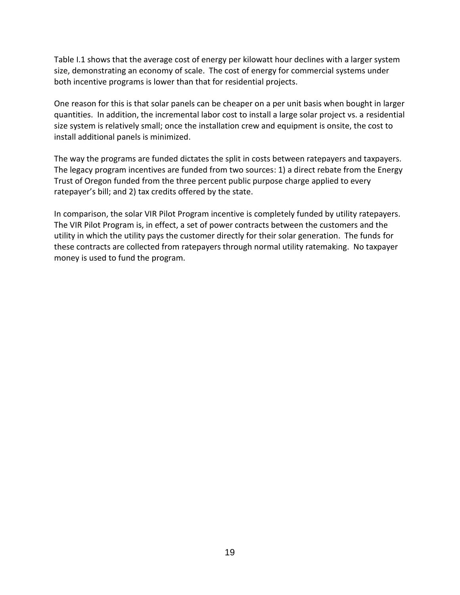Table I.1 shows that the average cost of energy per kilowatt hour declines with a larger system size, demonstrating an economy of scale. The cost of energy for commercial systems under both incentive programs is lower than that for residential projects.

One reason for this is that solar panels can be cheaper on a per unit basis when bought in larger quantities. In addition, the incremental labor cost to install a large solar project vs. a residential size system is relatively small; once the installation crew and equipment is onsite, the cost to install additional panels is minimized.

The way the programs are funded dictates the split in costs between ratepayers and taxpayers. The legacy program incentives are funded from two sources: 1) a direct rebate from the Energy Trust of Oregon funded from the three percent public purpose charge applied to every ratepayer's bill; and 2) tax credits offered by the state.

In comparison, the solar VIR Pilot Program incentive is completely funded by utility ratepayers. The VIR Pilot Program is, in effect, a set of power contracts between the customers and the utility in which the utility pays the customer directly for their solar generation. The funds for these contracts are collected from ratepayers through normal utility ratemaking. No taxpayer money is used to fund the program.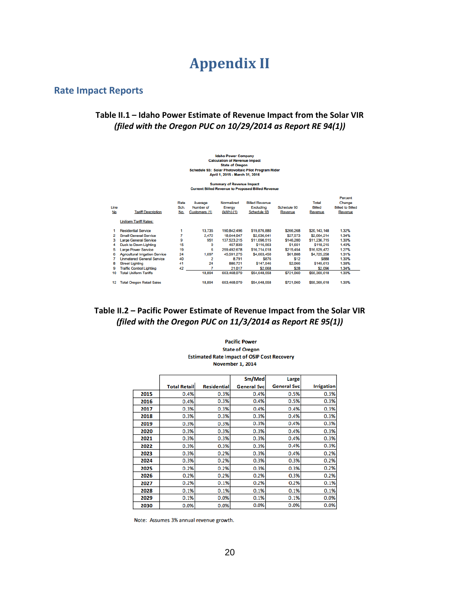### **Appendix II**

#### <span id="page-20-0"></span>**Rate Impact Reports**

#### **Table II.1 – Idaho Power Estimate of Revenue Impact from the Solar VIR** *(filed with the Oregon PUC on 10/29/2014 as Report RE 94(1))*

# Idaho Power Company<br>Calculation of Revenue Impact<br>Schedule 93: Solar of Oregon<br>Schedule 93: Solar Photovoltaic Pilot Program Rider<br>April 1, 2015 - March 31, 2016

#### Summary of Revenue Impact<br>Current Billed Revenue to Proposed Billed Revenue

| Line<br>No | <b>Tariff Description</b>              | Rate<br>Sch.<br>No. | Average<br>Number of<br>Customers (1) | Normalized<br>Energy<br>$(KWh)$ $(1)$ | <b>Billed Revenue</b><br>Excluding<br>Schedule 93 | Schedule 93<br>Revenue | Total<br>Billed<br>Revenue | Percent<br>Change<br><b>Billed to Billed</b><br>Revenue |
|------------|----------------------------------------|---------------------|---------------------------------------|---------------------------------------|---------------------------------------------------|------------------------|----------------------------|---------------------------------------------------------|
|            | <b>Uniform Tariff Rates:</b>           |                     |                                       |                                       |                                                   |                        |                            |                                                         |
|            | <b>Residential Service</b>             |                     | 13,735                                | 190.842.496                           | \$19,876,880                                      | \$266,268              | \$20,143,148               | 1.32%                                                   |
| 2          | <b>Small General Service</b>           |                     | 2.472                                 | 18.644.047                            | \$2,036,641                                       | \$27,573               | \$2.064.214                | 1.34%                                                   |
| з          | <b>Large General Service</b>           | 9                   | 951                                   | 137,523,215                           | \$11,090,515                                      | \$146,200              | \$11,236,715               | 1.30%                                                   |
| 4          | <b>Dusk to Dawn Lighting</b>           | 15                  | 0                                     | 457,839                               | \$116,563                                         | \$1,651                | \$118,215                  | 1.40%                                                   |
| 5          | <b>Large Power Service</b>             | 19                  | 6                                     | 259,492,678                           | \$16,714,018                                      | \$215,454              | \$16,929,472               | 1.27%                                                   |
| 6          | <b>Agricultural Irrigation Service</b> | 24                  | 1,697                                 | 45.591.275                            | \$4,663,450                                       | \$61,808               | \$4,725,258                | 1.31%                                                   |
|            | <b>Unmetered General Service</b>       | 40                  | 2                                     | 8.791                                 | \$876                                             | \$12                   | \$888                      | 1.30%                                                   |
| 8          | <b>Street Lighting</b>                 | 41                  | 24                                    | 886,721                               | \$147,546                                         | \$2.066                | \$149,613                  | 1.38%                                                   |
| 9          | <b>Traffic Control Lighting</b>        | 42                  | 7                                     | 21.017                                | \$2,068                                           | \$28                   | \$2,096                    | 1.34%                                                   |
| 10         | <b>Total Uniform Tariffs</b>           |                     | 18,894                                | 653,468,079                           | \$54,648,558                                      | \$721,060              | \$55,369,618               | 1.30%                                                   |
| 12         | <b>Total Oregon Retail Sales</b>       |                     | 18,894                                | 653,468,079                           | \$54,648,558                                      | \$721,060              | \$55,369,618               | 1.30%                                                   |

#### **Table II.2 – Pacific Power Estimate of Revenue Impact from the Solar VIR** *(filed with the Oregon PUC on 11/3/2014 as Report RE 95(1))*

**Pacific Power State of Oregon Estimated Rate Impact of OSIP Cost Recovery November 1, 2014** 

|      |                     |                    | Sm/Med             | Large              |                   |
|------|---------------------|--------------------|--------------------|--------------------|-------------------|
|      | <b>Total Retail</b> | <b>Residential</b> | <b>General Svc</b> | <b>General Svc</b> | <b>Irrigation</b> |
| 2015 | 0.4%                | 0.3%               | 0.4%               | 0.5%               | 0.3%              |
| 2016 | 0.4%                | 0.3%               | 0.4%               | 0.5%               | 0.3%              |
| 2017 | 0.3%                | 0.3%               | 0.4%               | 0.4%               | 0.3%              |
| 2018 | 0.3%                | 0.3%               | 0.3%               | 0.4%               | 0.3%              |
| 2019 | 0.3%                | 0.3%               | 0.3%               | 0.4%               | 0.3%              |
| 2020 | 0.3%                | 0.3%               | 0.3%               | 0.4%               | 0.3%              |
| 2021 | 0.3%                | 0.3%               | 0.3%               | 0.4%               | 0.3%              |
| 2022 | 0.3%                | 0.3%               | 0.3%               | 0.4%               | 0.3%              |
| 2023 | 0.3%                | 0.2%               | 0.3%               | 0.4%               | 0.2%              |
| 2024 | 0.3%                | 0.2%               | 0.3%               | 0.3%               | 0.2%              |
| 2025 | 0.2%                | 0.2%               | 0.3%               | 0.3%               | 0.2%              |
| 2026 | 0.2%                | 0.2%               | 0.2%               | 0.3%               | 0.2%              |
| 2027 | 0.2%                | 0.1%               | 0.2%               | 0.2%               | 0.1%              |
| 2028 | 0.1%                | 0.1%               | 0.1%               | 0.1%               | 0.1%              |
| 2029 | 0.1%                | 0.0%               | 0.1%               | 0.1%               | 0.0%              |
| 2030 | 0.0%                | 0.0%               | 0.0%               | 0.0%               | 0.0%              |

Note: Assumes 3% annual revenue growth.